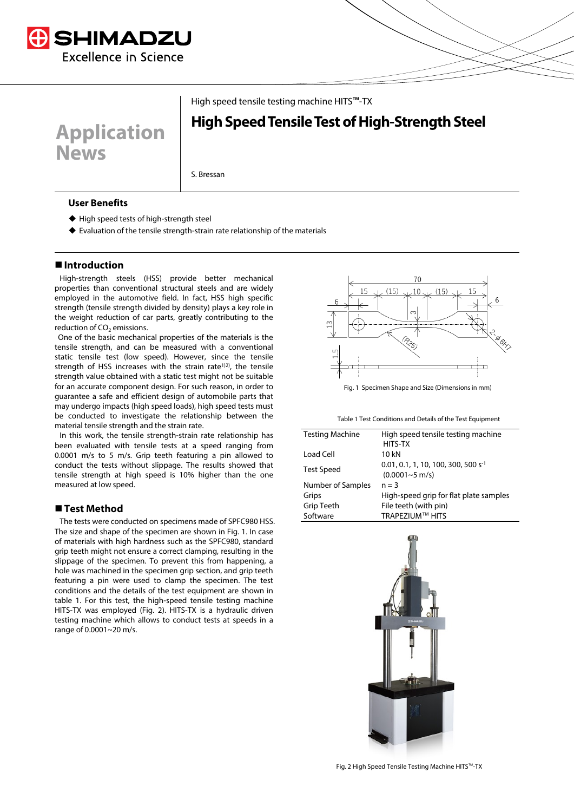

**Application** 

High speed tensile testing machine HITS™-TX

# **High Speed Tensile Test of High-Strength Steel**

S. Bressan

## **User Benefits**

**News**

- ◆ High speed tests of high-strength steel
- Evaluation of the tensile strength-strain rate relationship of the materials

# **Introduction**

High-strength steels (HSS) provide better mechanical properties than conventional structural steels and are widely employed in the automotive field. In fact, HSS high specific strength (tensile strength divided by density) plays a key role in the weight reduction of car parts, greatly contributing to the reduction of  $CO<sub>2</sub>$  emissions.

One of the basic mechanical properties of the materials is the tensile strength, and can be measured with a conventional static tensile test (low speed). However, since the tensile strength of HSS increases with the strain rate<sup>1)2)</sup>, the tensile strength value obtained with a static test might not be suitable for an accurate component design. For such reason, in order to guarantee a safe and efficient design of automobile parts that may undergo impacts (high speed loads), high speed tests must be conducted to investigate the relationship between the material tensile strength and the strain rate.

In this work, the tensile strength-strain rate relationship has been evaluated with tensile tests at a speed ranging from 0.0001 m/s to 5 m/s. Grip teeth featuring a pin allowed to conduct the tests without slippage. The results showed that tensile strength at high speed is 10% higher than the one measured at low speed.

# **Test Method**

The tests were conducted on specimens made of SPFC980 HSS. The size and shape of the specimen are shown in Fig. 1. In case of materials with high hardness such as the SPFC980, standard grip teeth might not ensure a correct clamping, resulting in the slippage of the specimen. To prevent this from happening, a hole was machined in the specimen grip section, and grip teeth featuring a pin were used to clamp the specimen. The test conditions and the details of the test equipment are shown in table 1. For this test, the high-speed tensile testing machine HITS-TX was employed (Fig. 2). HITS-TX is a hydraulic driven testing machine which allows to conduct tests at speeds in a range of 0.0001~20 m/s.



Fig. 1 Specimen Shape and Size (Dimensions in mm)

Table 1 Test Conditions and Details of the Test Equipment

| <b>Testing Machine</b> | High speed tensile testing machine       |
|------------------------|------------------------------------------|
|                        | HITS-TX                                  |
| Load Cell              | 10 kN                                    |
| <b>Test Speed</b>      | $0.01, 0.1, 1, 10, 100, 300, 500 s^{-1}$ |
|                        | $(0.0001 - 5 \text{ m/s})$               |
| Number of Samples      | $n = 3$                                  |
| Grips                  | High-speed grip for flat plate samples   |
| <b>Grip Teeth</b>      | File teeth (with pin)                    |
| Software               | <b>TRAPEZIUM™ HITS</b>                   |